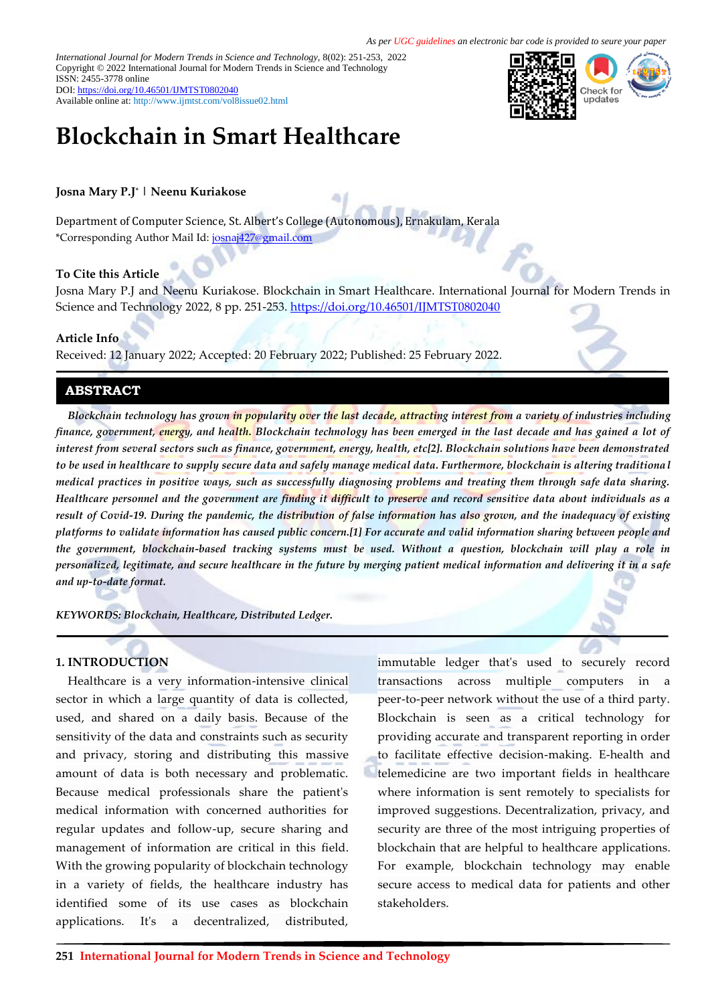*International Journal for Modern Trends in Science and Technology,* 8(02): 251-253, 2022 Copyright © 2022 International Journal for Modern Trends in Science and Technology ISSN: 2455-3778 online DOI[: https://doi.org/10.46501/IJMTST0802040](https://doi.org/10.46501/IJMTST0802040)

Available online at:<http://www.ijmtst.com/vol8issue02.html>

# **Blockchain in Smart Healthcare**

# **Josna Mary P.J\* | Neenu Kuriakose**

Department of Computer Science, St. Albert's College (Autonomous), Ernakulam, Kerala \*Corresponding Author Mail Id: [josnaj427@gmail.com](mailto:josnaj427@gmail.com)

### **To Cite this Article**

Josna Mary P.J and Neenu Kuriakose. Blockchain in Smart Healthcare. International Journal for Modern Trends in Science and Technology 2022, 8 pp. 251-253. <https://doi.org/10.46501/IJMTST0802040>

### **Article Info**

Received: 12 January 2022; Accepted: 20 February 2022; Published: 25 February 2022.

# **ABSTRACT**

*Blockchain technology has grown in popularity over the last decade, attracting interest from a variety of industries including finance, government, energy, and health. Blockchain technology has been emerged in the last decade and has gained a lot of interest from several sectors such as finance, government, energy, health, etc[2]. Blockchain solutions have been demonstrated to be used in healthcare to supply secure data and safely manage medical data. Furthermore, blockchain is altering traditiona l medical practices in positive ways, such as successfully diagnosing problems and treating them through safe data sharing. Healthcare personnel and the government are finding it difficult to preserve and record sensitive data about individuals as a result of Covid-19. During the pandemic, the distribution of false information has also grown, and the inadequacy of existing platforms to validate information has caused public concern.[1] For accurate and valid information sharing between people and the government, blockchain-based tracking systems must be used. Without a question, blockchain will play a role in personalized, legitimate, and secure healthcare in the future by merging patient medical information and delivering it in a safe and up-to-date format.*

*KEYWORDS: Blockchain, Healthcare, Distributed Ledger.*

### **1. INTRODUCTION**

Healthcare is a very information-intensive clinical sector in which a large quantity of data is collected, used, and shared on a daily basis. Because of the sensitivity of the data and constraints such as security and privacy, storing and distributing this massive amount of data is both necessary and problematic. Because medical professionals share the patient's medical information with concerned authorities for regular updates and follow-up, secure sharing and management of information are critical in this field. With the growing popularity of blockchain technology in a variety of fields, the healthcare industry has identified some of its use cases as blockchain applications. It's a decentralized, distributed,

immutable ledger that's used to securely record transactions across multiple computers in a peer-to-peer network without the use of a third party. Blockchain is seen as a critical technology for providing accurate and transparent reporting in order to facilitate effective decision-making. E-health and telemedicine are two important fields in healthcare where information is sent remotely to specialists for improved suggestions. Decentralization, privacy, and security are three of the most intriguing properties of blockchain that are helpful to healthcare applications. For example, blockchain technology may enable secure access to medical data for patients and other stakeholders.

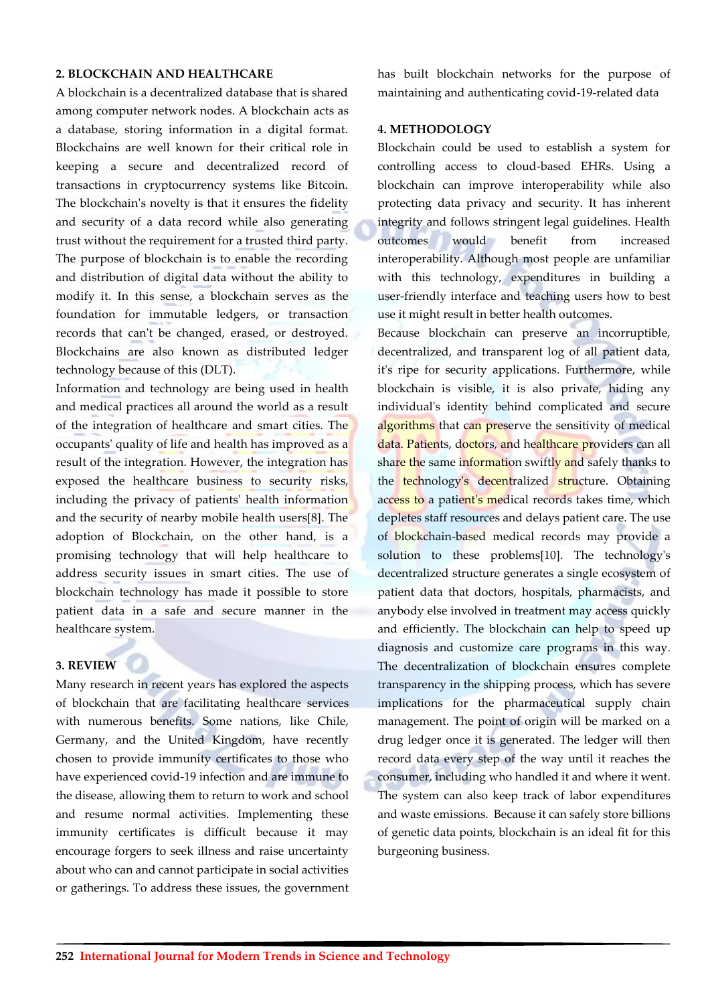### **2. BLOCKCHAIN AND HEALTHCARE**

A blockchain is a decentralized database that is shared among computer network nodes. A blockchain acts as a database, storing information in a digital format. Blockchains are well known for their critical role in keeping a secure and decentralized record of transactions in cryptocurrency systems like Bitcoin. The blockchain's novelty is that it ensures the fidelity and security of a data record while also generating trust without the requirement for a trusted third party. The purpose of blockchain is to enable the recording and distribution of digital data without the ability to modify it. In this sense, a blockchain serves as the foundation for immutable ledgers, or transaction records that can't be changed, erased, or destroyed. Blockchains are also known as distributed ledger technology because of this (DLT).

Information and technology are being used in health and medical practices all around the world as a result of the integration of healthcare and smart cities. The occupants' quality of life and health has improved as a result of the integration. However, the integration has exposed the healthcare business to security risks, including the privacy of patients' health information and the security of nearby mobile health users[8]. The adoption of Blockchain, on the other hand, is a promising technology that will help healthcare to address security issues in smart cities. The use of blockchain technology has made it possible to store patient data in a safe and secure manner in the healthcare system.

# **3. REVIEW**

Many research in recent years has explored the aspects of blockchain that are facilitating healthcare services with numerous benefits. Some nations, like Chile, Germany, and the United Kingdom, have recently chosen to provide immunity certificates to those who have experienced covid-19 infection and are immune to the disease, allowing them to return to work and school and resume normal activities. Implementing these immunity certificates is difficult because it may encourage forgers to seek illness and raise uncertainty about who can and cannot participate in social activities or gatherings. To address these issues, the government has built blockchain networks for the purpose of maintaining and authenticating covid-19-related data

# **4. METHODOLOGY**

Blockchain could be used to establish a system for controlling access to cloud-based EHRs. Using a blockchain can improve interoperability while also protecting data privacy and security. It has inherent integrity and follows stringent legal guidelines. Health outcomes would benefit from increased interoperability. Although most people are unfamiliar with this technology, expenditures in building a user-friendly interface and teaching users how to best use it might result in better health outcomes.

Because blockchain can preserve an incorruptible, decentralized, and transparent log of all patient data, it's ripe for security applications. Furthermore, while blockchain is visible, it is also private, hiding any individual's identity behind complicated and secure algorithms that can preserve the sensitivity of medical data. Patients, doctors, and healthcare providers can all share the same information swiftly and safely thanks to the technology's decentralized structure. Obtaining access to a patient's medical records takes time, which depletes staff resources and delays patient care. The use of blockchain-based medical records may provide a solution to these problems[10]. The technology's decentralized structure generates a single ecosystem of patient data that doctors, hospitals, pharmacists, and anybody else involved in treatment may access quickly and efficiently. The blockchain can help to speed up diagnosis and customize care programs in this way. The decentralization of blockchain ensures complete transparency in the shipping process, which has severe implications for the pharmaceutical supply chain management. The point of origin will be marked on a drug ledger once it is generated. The ledger will then record data every step of the way until it reaches the consumer, including who handled it and where it went. The system can also keep track of labor expenditures and waste emissions. Because it can safely store billions of genetic data points, blockchain is an ideal fit for this burgeoning business.